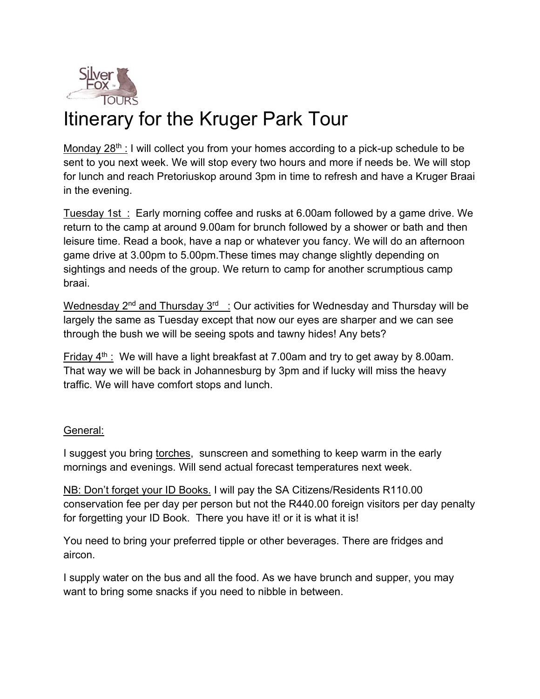

## Itinerary for the Kruger Park Tour

Monday  $28<sup>th</sup>$ : I will collect you from your homes according to a pick-up schedule to be sent to you next week. We will stop every two hours and more if needs be. We will stop for lunch and reach Pretoriuskop around 3pm in time to refresh and have a Kruger Braai in the evening.

Tuesday 1st : Early morning coffee and rusks at 6.00am followed by a game drive. We return to the camp at around 9.00am for brunch followed by a shower or bath and then leisure time. Read a book, have a nap or whatever you fancy. We will do an afternoon game drive at 3.00pm to 5.00pm.These times may change slightly depending on sightings and needs of the group. We return to camp for another scrumptious camp braai.

Wednesday  $2^{nd}$  and Thursday  $3^{rd}$  : Our activities for Wednesday and Thursday will be largely the same as Tuesday except that now our eyes are sharper and we can see through the bush we will be seeing spots and tawny hides! Any bets?

Friday  $4<sup>th</sup>$ : We will have a light breakfast at 7.00am and try to get away by 8.00am. That way we will be back in Johannesburg by 3pm and if lucky will miss the heavy traffic. We will have comfort stops and lunch.

## General:

I suggest you bring torches, sunscreen and something to keep warm in the early mornings and evenings. Will send actual forecast temperatures next week.

NB: Don't forget your ID Books. I will pay the SA Citizens/Residents R110.00 conservation fee per day per person but not the R440.00 foreign visitors per day penalty for forgetting your ID Book. There you have it! or it is what it is!

You need to bring your preferred tipple or other beverages. There are fridges and aircon.

I supply water on the bus and all the food. As we have brunch and supper, you may want to bring some snacks if you need to nibble in between.